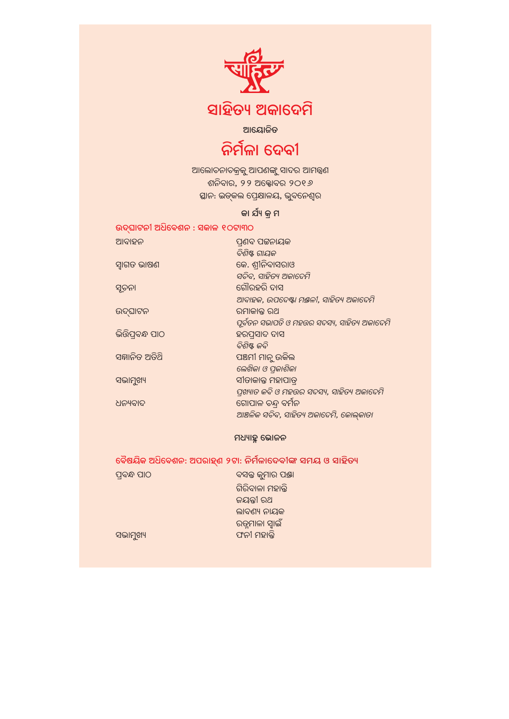

## ସାହିତ୍ୟ ଅକାଦେମି

### ଆୟୋଜିତ

# ନିର୍ମଳା ଦେବୀ

ଆଲୋଚନାଚକ୍ରକୁ ଆପଣଙ୍କୁ ସାଦର ଆମନ୍ତ୍ରଣ ଶନିବାର, ୨୨ ଅକ୍ଟୋବର ୨୦୧*୬* ସ୍ଥାନ: ଇଡ୍କଲ ପ୍ରେକ୍ଷାଳୟ, ଭୁବନେଶ୍ୱର

### କା ର୍ଯ୍ୟ କ୍ର ମ

| ଉଦ୍ଘାଟନୀ ଅଧିବେଶନ : ସକାଳ ୧୦ଟା୩୦ |                                              |
|--------------------------------|----------------------------------------------|
| ଆବାହନ                          | ପ୍ରଶବ ପଟ୍ଟନାୟକ                               |
|                                | ବିଶିଷ୍ଟ ଗାୟକ                                 |
| ସ୍ୱାଗତ ଭାଷଣ                    | କେ. ଶ୍ରୀନିବାସରାଓ                             |
|                                | ସଚିବ, ସାହିତ୍ୟ ଅକାବେମି                        |
| ସୃଚନା                          | ଗୌରହରି ଦାସ                                   |
|                                | ଆବାହକ, ଉପଦେଷ୍ଟା ମଞ୍ଜଳୀ, ସାହିତ୍ୟ ଅକାଦେମି      |
| ଉଦ୍ଘାଟନ                        | ରମାକାନ୍ତ ରଥ                                  |
|                                | ପୂର୍ବତନ ସଭାପତି ଓ ମହଉର ସଦସ୍ୟ, ସାହିତ୍ୟ ଅକାଦେମି |
| ଭିରିପ୍ରବନ୍ଧ ପାଠ                | ହରପ୍ରସାଦ ଦାସ                                 |
|                                | ବିଶିଷ୍ଟ କବି                                  |
| ସଜ୍ଞାନିତ ଅତିଥି                 | ପଞ୍ଚମୀ ମାନୁ ଉକିଲ                             |
|                                | ଲେଖିକା ଓ ପ୍ଳକାଶିକା                           |
| ସଭାମୁଖ୍ୟ                       | ସୀତାକାନ୍ତ ମହାପାତ୍                            |
|                                | ପ୍ରଖ୍ୟାତ କବି ଓ ମହଉର ସଦସ୍ୟ, ସାହିତ୍ୟ ଅକାଦେମି   |
| ଧନ୍ୟବାଦ                        | ଗୋପାଳ ଚନ୍ଦ୍ର ବର୍ମନ                           |
|                                | ଆଞ୍ଚଳିକ ସଚିବ, ସାହିତ୍ୟ ଅକାଦେମି, କୋଲ୍କାତା      |

#### ମଧ୍ୟାହୁ ଭୋଜନ

ବୈଷୟିକ ଅଧିବେଶନ: ଅପରାହ୍ଣ ୨ଟା: ନିର୍ମଳାଦେବୀଙ୍କ ସମୟ ଓ ସାହିତ୍ୟ

ବସନ୍ତ କୁମାର ପଞ୍ଚା ପ୍ରବନ୍ଧ ପାଠ ଗିରିବାଳା ମହାନ୍ତି ଜୟନ୍ତୀ ରଥ ଲାବଣ୍ୟ ନାୟକ ରତୁମାଳା ସ୍ୱାଇଁ ଫନୀ ମହାନ୍ତି ସଭାମୁଖ୍ୟ